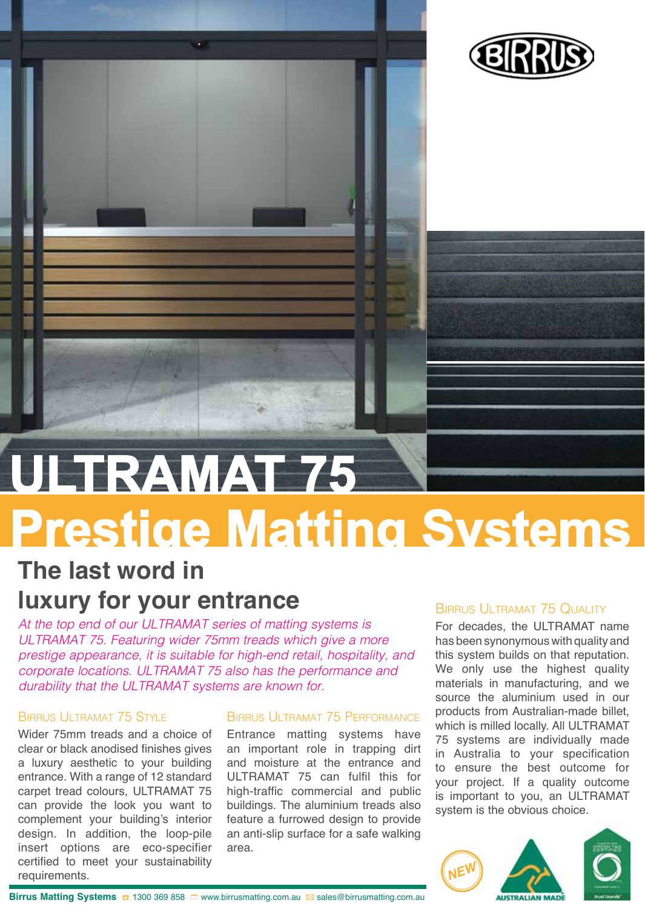

# **ULTRAMAT 75 Prestige Matting Systems**

## **The last word in luxury for your entrance**

*At the top end of our ULTRAMAT series of matting systems is ULTRAMAT 75. Featuring wider 75mm treads which give a more prestige appearance, it is suitable for high-end retail, hospitality, and corporate locations. ULTRAMAT 75 also has the performance and durability that the ULTRAMAT systems are known for.*

#### Birrus Ultramat 75 Style

Wider 75mm treads and a choice of clear or black anodised finishes gives a luxury aesthetic to your building entrance. With a range of 12 standard carpet tread colours, ULTRAMAT 75 can provide the look you want to complement your building's interior design. In addition, the loop-pile insert options are eco-specifier certified to meet your sustainability requirements.

#### Birrus Ultramat 75 Performance

Entrance matting systems have an important role in trapping dirt and moisture at the entrance and ULTRAMAT 75 can fulfil this for high-traffic commercial and public buildings. The aluminium treads also feature a furrowed design to provide an anti-slip surface for a safe walking area.

#### Birrus Ultramat 75 Quality

For decades, the ULTRAMAT name has been synonymous with quality and this system builds on that reputation. We only use the highest quality materials in manufacturing, and we source the aluminium used in our products from Australian-made billet, which is milled locally. All ULTRAMAT 75 systems are individually made in Australia to your specification to ensure the best outcome for your project. If a quality outcome is important to you, an ULTRAMAT system is the obvious choice.





**Birrus Matting Systems <del>☎</del> 1300 369 858 □** www.birrusmatting.com.au ⊠ sales@birrusmatting.com.au